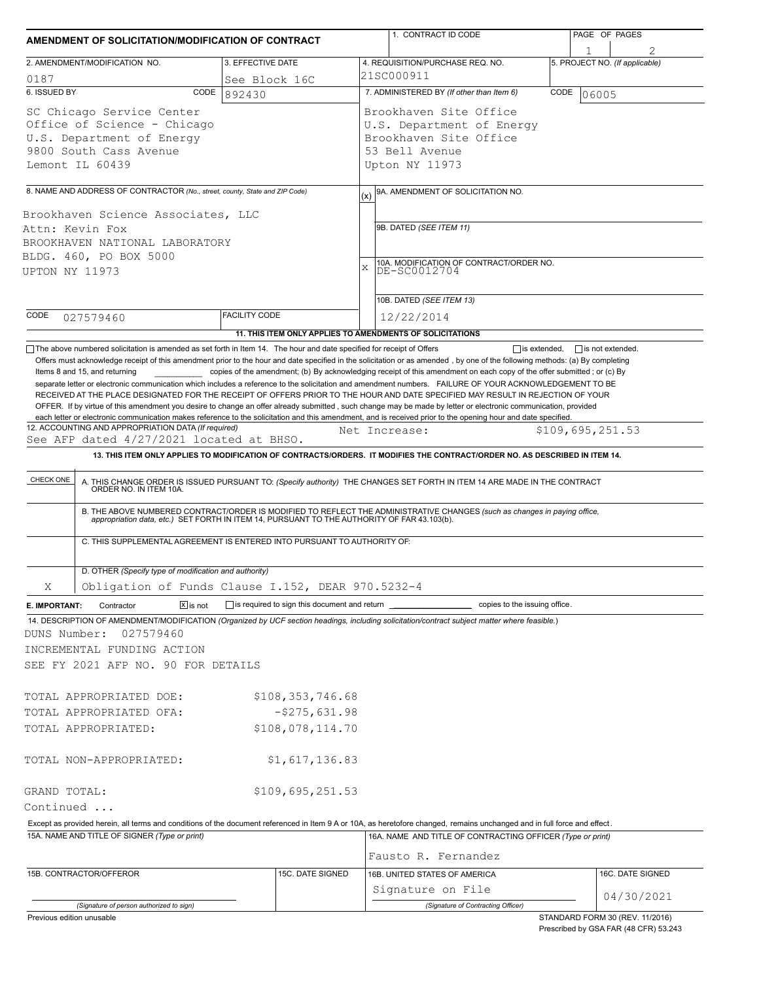| AMENDMENT OF SOLICITATION/MODIFICATION OF CONTRACT                                                                                                                                                                 |                                                                                                                                   |                      |                                                           |                                                                                                                   | 1. CONTRACT ID CODE                                                                                                                                                                                                                                                                                                                                                                                                                                                                                                                                                                                                                                                                                                                                                                                                                                                                                                                     | PAGE OF PAGES |                  |                                 |  |  |  |
|--------------------------------------------------------------------------------------------------------------------------------------------------------------------------------------------------------------------|-----------------------------------------------------------------------------------------------------------------------------------|----------------------|-----------------------------------------------------------|-------------------------------------------------------------------------------------------------------------------|-----------------------------------------------------------------------------------------------------------------------------------------------------------------------------------------------------------------------------------------------------------------------------------------------------------------------------------------------------------------------------------------------------------------------------------------------------------------------------------------------------------------------------------------------------------------------------------------------------------------------------------------------------------------------------------------------------------------------------------------------------------------------------------------------------------------------------------------------------------------------------------------------------------------------------------------|---------------|------------------|---------------------------------|--|--|--|
| 2. AMENDMENT/MODIFICATION NO.                                                                                                                                                                                      |                                                                                                                                   | 3. EFFECTIVE DATE    |                                                           |                                                                                                                   | 4. REQUISITION/PURCHASE REQ. NO.                                                                                                                                                                                                                                                                                                                                                                                                                                                                                                                                                                                                                                                                                                                                                                                                                                                                                                        |               |                  | 5. PROJECT NO. (If applicable)  |  |  |  |
| 0187                                                                                                                                                                                                               |                                                                                                                                   | See Block 16C        |                                                           | 21SC000911                                                                                                        |                                                                                                                                                                                                                                                                                                                                                                                                                                                                                                                                                                                                                                                                                                                                                                                                                                                                                                                                         |               |                  |                                 |  |  |  |
| 6. ISSUED BY                                                                                                                                                                                                       | CODE                                                                                                                              | 892430               |                                                           |                                                                                                                   | 7. ADMINISTERED BY (If other than Item 6)                                                                                                                                                                                                                                                                                                                                                                                                                                                                                                                                                                                                                                                                                                                                                                                                                                                                                               | CODE          | 06005            |                                 |  |  |  |
| SC Chicago Service Center<br>Office of Science - Chicago<br>U.S. Department of Energy<br>9800 South Cass Avenue<br>Lemont IL 60439                                                                                 |                                                                                                                                   |                      |                                                           | Brookhaven Site Office<br>U.S. Department of Energy<br>Brookhaven Site Office<br>53 Bell Avenue<br>Upton NY 11973 |                                                                                                                                                                                                                                                                                                                                                                                                                                                                                                                                                                                                                                                                                                                                                                                                                                                                                                                                         |               |                  |                                 |  |  |  |
|                                                                                                                                                                                                                    |                                                                                                                                   |                      |                                                           |                                                                                                                   |                                                                                                                                                                                                                                                                                                                                                                                                                                                                                                                                                                                                                                                                                                                                                                                                                                                                                                                                         |               |                  |                                 |  |  |  |
| 8. NAME AND ADDRESS OF CONTRACTOR (No., street, county, State and ZIP Code)<br>Brookhaven Science Associates, LLC<br>Attn: Kevin Fox<br>BROOKHAVEN NATIONAL LABORATORY<br>BLDG. 460, PO BOX 5000<br>UPTON NY 11973 |                                                                                                                                   |                      |                                                           |                                                                                                                   | 9A. AMENDMENT OF SOLICITATION NO.<br>(x)<br>9B. DATED (SEE ITEM 11)<br>10A. MODIFICATION OF CONTRACT/ORDER NO.<br>DE-SC0012704<br>X                                                                                                                                                                                                                                                                                                                                                                                                                                                                                                                                                                                                                                                                                                                                                                                                     |               |                  |                                 |  |  |  |
|                                                                                                                                                                                                                    |                                                                                                                                   |                      |                                                           |                                                                                                                   | 10B. DATED (SEE ITEM 13)                                                                                                                                                                                                                                                                                                                                                                                                                                                                                                                                                                                                                                                                                                                                                                                                                                                                                                                |               |                  |                                 |  |  |  |
| CODE<br>027579460                                                                                                                                                                                                  |                                                                                                                                   | <b>FACILITY CODE</b> | 11. THIS ITEM ONLY APPLIES TO AMENDMENTS OF SOLICITATIONS | 12/22/2014                                                                                                        |                                                                                                                                                                                                                                                                                                                                                                                                                                                                                                                                                                                                                                                                                                                                                                                                                                                                                                                                         |               |                  |                                 |  |  |  |
| Items 8 and 15, and returning                                                                                                                                                                                      |                                                                                                                                   |                      |                                                           |                                                                                                                   | Offers must acknowledge receipt of this amendment prior to the hour and date specified in the solicitation or as amended, by one of the following methods: (a) By completing<br>copies of the amendment; (b) By acknowledging receipt of this amendment on each copy of the offer submitted; or (c) By<br>separate letter or electronic communication which includes a reference to the solicitation and amendment numbers. FAILURE OF YOUR ACKNOWLEDGEMENT TO BE<br>RECEIVED AT THE PLACE DESIGNATED FOR THE RECEIPT OF OFFERS PRIOR TO THE HOUR AND DATE SPECIFIED MAY RESULT IN REJECTION OF YOUR<br>OFFER. If by virtue of this amendment you desire to change an offer already submitted, such change may be made by letter or electronic communication, provided<br>each letter or electronic communication makes reference to the solicitation and this amendment, and is received prior to the opening hour and date specified. |               |                  |                                 |  |  |  |
|                                                                                                                                                                                                                    | 12. ACCOUNTING AND APPROPRIATION DATA (If required)                                                                               |                      |                                                           |                                                                                                                   | Net Increase:                                                                                                                                                                                                                                                                                                                                                                                                                                                                                                                                                                                                                                                                                                                                                                                                                                                                                                                           |               | \$109,695,251.53 |                                 |  |  |  |
|                                                                                                                                                                                                                    | See AFP dated 4/27/2021 located at BHSO.                                                                                          |                      |                                                           |                                                                                                                   |                                                                                                                                                                                                                                                                                                                                                                                                                                                                                                                                                                                                                                                                                                                                                                                                                                                                                                                                         |               |                  |                                 |  |  |  |
|                                                                                                                                                                                                                    | C. THIS SUPPLEMENTAL AGREEMENT IS ENTERED INTO PURSUANT TO AUTHORITY OF:<br>D. OTHER (Specify type of modification and authority) |                      |                                                           |                                                                                                                   | B. THE ABOVE NUMBERED CONTRACT/ORDER IS MODIFIED TO REFLECT THE ADMINISTRATIVE CHANGES (such as changes in paying office,<br>appropriation data, etc.) SET FORTH IN ITEM 14, PURSUANT TO THE AUTHORITY OF FAR 43.103(b).                                                                                                                                                                                                                                                                                                                                                                                                                                                                                                                                                                                                                                                                                                                |               |                  |                                 |  |  |  |
|                                                                                                                                                                                                                    | Obligation of Funds Clause I.152, DEAR 970.5232-4                                                                                 |                      |                                                           |                                                                                                                   |                                                                                                                                                                                                                                                                                                                                                                                                                                                                                                                                                                                                                                                                                                                                                                                                                                                                                                                                         |               |                  |                                 |  |  |  |
| X<br>E. IMPORTANT:                                                                                                                                                                                                 | $\boxed{\mathsf{X}}$ is not<br>Contractor                                                                                         |                      | is required to sign this document and return _            |                                                                                                                   | copies to the issuing office.                                                                                                                                                                                                                                                                                                                                                                                                                                                                                                                                                                                                                                                                                                                                                                                                                                                                                                           |               |                  |                                 |  |  |  |
| DUNS Number:                                                                                                                                                                                                       | 027579460<br>INCREMENTAL FUNDING ACTION<br>SEE FY 2021 AFP NO. 90 FOR DETAILS                                                     |                      |                                                           |                                                                                                                   | 14. DESCRIPTION OF AMENDMENT/MODIFICATION (Organized by UCF section headings, including solicitation/contract subject matter where feasible.)                                                                                                                                                                                                                                                                                                                                                                                                                                                                                                                                                                                                                                                                                                                                                                                           |               |                  |                                 |  |  |  |
|                                                                                                                                                                                                                    | TOTAL APPROPRIATED DOE:                                                                                                           |                      | \$108,353,746.68                                          |                                                                                                                   |                                                                                                                                                                                                                                                                                                                                                                                                                                                                                                                                                                                                                                                                                                                                                                                                                                                                                                                                         |               |                  |                                 |  |  |  |
| $-5275,631.98$<br>TOTAL APPROPRIATED OFA:                                                                                                                                                                          |                                                                                                                                   |                      |                                                           |                                                                                                                   |                                                                                                                                                                                                                                                                                                                                                                                                                                                                                                                                                                                                                                                                                                                                                                                                                                                                                                                                         |               |                  |                                 |  |  |  |
| TOTAL APPROPRIATED:                                                                                                                                                                                                |                                                                                                                                   |                      | \$108,078,114.70                                          |                                                                                                                   |                                                                                                                                                                                                                                                                                                                                                                                                                                                                                                                                                                                                                                                                                                                                                                                                                                                                                                                                         |               |                  |                                 |  |  |  |
|                                                                                                                                                                                                                    | TOTAL NON-APPROPRIATED:                                                                                                           |                      | \$1,617,136.83                                            |                                                                                                                   |                                                                                                                                                                                                                                                                                                                                                                                                                                                                                                                                                                                                                                                                                                                                                                                                                                                                                                                                         |               |                  |                                 |  |  |  |
| GRAND TOTAL:                                                                                                                                                                                                       |                                                                                                                                   |                      | \$109,695,251.53                                          |                                                                                                                   |                                                                                                                                                                                                                                                                                                                                                                                                                                                                                                                                                                                                                                                                                                                                                                                                                                                                                                                                         |               |                  |                                 |  |  |  |
| Continued                                                                                                                                                                                                          |                                                                                                                                   |                      |                                                           |                                                                                                                   |                                                                                                                                                                                                                                                                                                                                                                                                                                                                                                                                                                                                                                                                                                                                                                                                                                                                                                                                         |               |                  |                                 |  |  |  |
|                                                                                                                                                                                                                    |                                                                                                                                   |                      |                                                           |                                                                                                                   | Except as provided herein, all terms and conditions of the document referenced in Item 9 A or 10A, as heretofore changed, remains unchanged and in full force and effect.                                                                                                                                                                                                                                                                                                                                                                                                                                                                                                                                                                                                                                                                                                                                                               |               |                  |                                 |  |  |  |
|                                                                                                                                                                                                                    | 15A. NAME AND TITLE OF SIGNER (Type or print)                                                                                     |                      |                                                           |                                                                                                                   | 16A. NAME AND TITLE OF CONTRACTING OFFICER (Type or print)                                                                                                                                                                                                                                                                                                                                                                                                                                                                                                                                                                                                                                                                                                                                                                                                                                                                              |               |                  |                                 |  |  |  |
|                                                                                                                                                                                                                    |                                                                                                                                   |                      |                                                           |                                                                                                                   | Fausto R. Fernandez                                                                                                                                                                                                                                                                                                                                                                                                                                                                                                                                                                                                                                                                                                                                                                                                                                                                                                                     |               |                  |                                 |  |  |  |
| 15B. CONTRACTOR/OFFEROR                                                                                                                                                                                            |                                                                                                                                   |                      | 15C. DATE SIGNED                                          |                                                                                                                   | 16B. UNITED STATES OF AMERICA                                                                                                                                                                                                                                                                                                                                                                                                                                                                                                                                                                                                                                                                                                                                                                                                                                                                                                           |               |                  | 16C. DATE SIGNED                |  |  |  |
|                                                                                                                                                                                                                    |                                                                                                                                   |                      |                                                           |                                                                                                                   | Signature on File                                                                                                                                                                                                                                                                                                                                                                                                                                                                                                                                                                                                                                                                                                                                                                                                                                                                                                                       |               |                  | 04/30/2021                      |  |  |  |
| Previous edition unusable                                                                                                                                                                                          | (Signature of person authorized to sign)                                                                                          |                      |                                                           |                                                                                                                   | (Signature of Contracting Officer)                                                                                                                                                                                                                                                                                                                                                                                                                                                                                                                                                                                                                                                                                                                                                                                                                                                                                                      |               |                  | STANDARD FORM 30 (REV. 11/2016) |  |  |  |

Prescribed by GSA FAR (48 CFR) 53.243